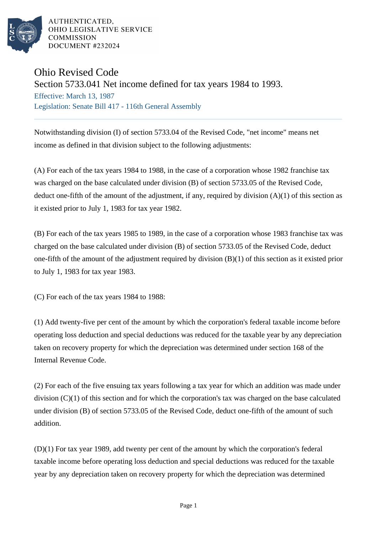

AUTHENTICATED. OHIO LEGISLATIVE SERVICE COMMISSION DOCUMENT #232024

## Ohio Revised Code

## Section 5733.041 Net income defined for tax years 1984 to 1993.

Effective: March 13, 1987 Legislation: Senate Bill 417 - 116th General Assembly

Notwithstanding division (I) of section 5733.04 of the Revised Code, "net income" means net income as defined in that division subject to the following adjustments:

(A) For each of the tax years 1984 to 1988, in the case of a corporation whose 1982 franchise tax was charged on the base calculated under division (B) of section 5733.05 of the Revised Code, deduct one-fifth of the amount of the adjustment, if any, required by division  $(A)(1)$  of this section as it existed prior to July 1, 1983 for tax year 1982.

(B) For each of the tax years 1985 to 1989, in the case of a corporation whose 1983 franchise tax was charged on the base calculated under division (B) of section 5733.05 of the Revised Code, deduct one-fifth of the amount of the adjustment required by division (B)(1) of this section as it existed prior to July 1, 1983 for tax year 1983.

(C) For each of the tax years 1984 to 1988:

(1) Add twenty-five per cent of the amount by which the corporation's federal taxable income before operating loss deduction and special deductions was reduced for the taxable year by any depreciation taken on recovery property for which the depreciation was determined under section 168 of the Internal Revenue Code.

(2) For each of the five ensuing tax years following a tax year for which an addition was made under division (C)(1) of this section and for which the corporation's tax was charged on the base calculated under division (B) of section 5733.05 of the Revised Code, deduct one-fifth of the amount of such addition.

(D)(1) For tax year 1989, add twenty per cent of the amount by which the corporation's federal taxable income before operating loss deduction and special deductions was reduced for the taxable year by any depreciation taken on recovery property for which the depreciation was determined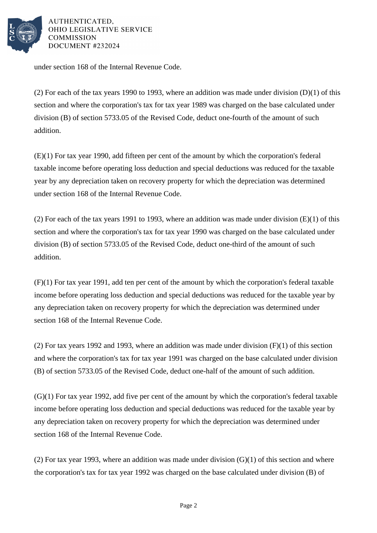

AUTHENTICATED. OHIO LEGISLATIVE SERVICE **COMMISSION DOCUMENT #232024** 

under section 168 of the Internal Revenue Code.

(2) For each of the tax years 1990 to 1993, where an addition was made under division  $(D)(1)$  of this section and where the corporation's tax for tax year 1989 was charged on the base calculated under division (B) of section 5733.05 of the Revised Code, deduct one-fourth of the amount of such addition.

(E)(1) For tax year 1990, add fifteen per cent of the amount by which the corporation's federal taxable income before operating loss deduction and special deductions was reduced for the taxable year by any depreciation taken on recovery property for which the depreciation was determined under section 168 of the Internal Revenue Code.

(2) For each of the tax years 1991 to 1993, where an addition was made under division  $(E)(1)$  of this section and where the corporation's tax for tax year 1990 was charged on the base calculated under division (B) of section 5733.05 of the Revised Code, deduct one-third of the amount of such addition.

(F)(1) For tax year 1991, add ten per cent of the amount by which the corporation's federal taxable income before operating loss deduction and special deductions was reduced for the taxable year by any depreciation taken on recovery property for which the depreciation was determined under section 168 of the Internal Revenue Code.

(2) For tax years 1992 and 1993, where an addition was made under division (F)(1) of this section and where the corporation's tax for tax year 1991 was charged on the base calculated under division (B) of section 5733.05 of the Revised Code, deduct one-half of the amount of such addition.

(G)(1) For tax year 1992, add five per cent of the amount by which the corporation's federal taxable income before operating loss deduction and special deductions was reduced for the taxable year by any depreciation taken on recovery property for which the depreciation was determined under section 168 of the Internal Revenue Code.

(2) For tax year 1993, where an addition was made under division  $(G)(1)$  of this section and where the corporation's tax for tax year 1992 was charged on the base calculated under division (B) of